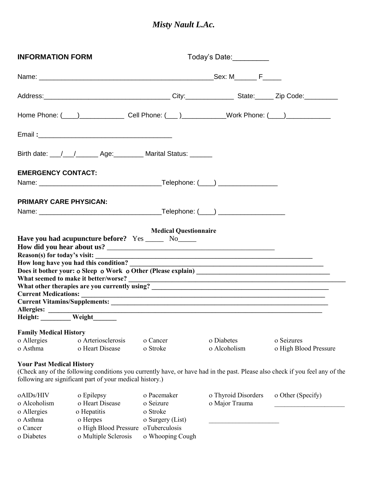## *Misty Nault L.Ac.*

| <b>INFORMATION FORM</b>                              |                                                                                                                                | Today's Date:                                            |                                                                                                                       |                                                                                                                              |
|------------------------------------------------------|--------------------------------------------------------------------------------------------------------------------------------|----------------------------------------------------------|-----------------------------------------------------------------------------------------------------------------------|------------------------------------------------------------------------------------------------------------------------------|
|                                                      |                                                                                                                                |                                                          |                                                                                                                       |                                                                                                                              |
|                                                      |                                                                                                                                |                                                          |                                                                                                                       |                                                                                                                              |
|                                                      | Home Phone: ( <u>___ ) ___________________________</u> Cell Phone: ( ___ ) ________________Work Phone: ( ___ ) _______________ |                                                          |                                                                                                                       |                                                                                                                              |
|                                                      |                                                                                                                                |                                                          |                                                                                                                       |                                                                                                                              |
|                                                      | Birth date: \__/ \___/ ______ Age: ________ Marital Status: \______                                                            |                                                          |                                                                                                                       |                                                                                                                              |
| <b>EMERGENCY CONTACT:</b>                            |                                                                                                                                |                                                          |                                                                                                                       |                                                                                                                              |
|                                                      |                                                                                                                                |                                                          |                                                                                                                       |                                                                                                                              |
| PRIMARY CARE PHYSICAN:                               |                                                                                                                                |                                                          |                                                                                                                       |                                                                                                                              |
|                                                      |                                                                                                                                |                                                          |                                                                                                                       |                                                                                                                              |
| Allergies:                                           | How long have you had this condition?                                                                                          |                                                          | <u> 1989 - Johann John Stoff, deutscher Stoffen und der Stoffen und der Stoffen und der Stoffen und der Stoffen u</u> |                                                                                                                              |
| Height: Weight                                       |                                                                                                                                |                                                          |                                                                                                                       |                                                                                                                              |
| <b>Family Medical History</b>                        |                                                                                                                                |                                                          |                                                                                                                       |                                                                                                                              |
| o Allergies                                          | o Arteriosclerosis                                                                                                             | o Cancer                                                 | o Diabetes                                                                                                            | o Seizures                                                                                                                   |
| o Asthma                                             | o Heart Disease                                                                                                                | o Stroke                                                 | o Alcoholism                                                                                                          | o High Blood Pressure                                                                                                        |
| <b>Your Past Medical History</b>                     | following are significant part of your medical history.)                                                                       |                                                          |                                                                                                                       | (Check any of the following conditions you currently have, or have had in the past. Please also check if you feel any of the |
| oAIDs/HIV<br>o Alcoholism<br>o Allergies<br>o Asthma | o Epilepsy<br>o Heart Disease<br>o Hepatitis<br>o Herpes                                                                       | o Pacemaker<br>o Seizure<br>o Stroke<br>o Surgery (List) | o Thyroid Disorders<br>o Major Trauma                                                                                 | o Other (Specify)                                                                                                            |
| o Cancer<br>o Diabetes                               | o High Blood Pressure oTuberculosis<br>o Multiple Sclerosis                                                                    | o Whooping Cough                                         |                                                                                                                       |                                                                                                                              |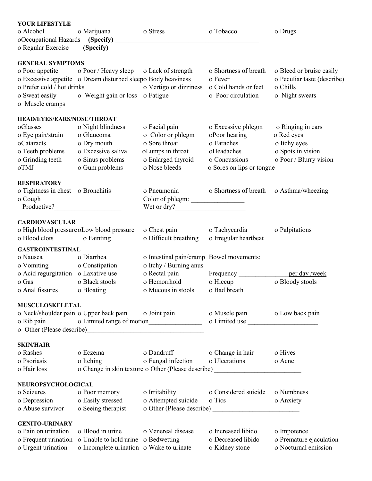| YOUR LIFESTYLE                         |                                                              |                                                                                  |                                         |                             |
|----------------------------------------|--------------------------------------------------------------|----------------------------------------------------------------------------------|-----------------------------------------|-----------------------------|
| o Alcohol                              | o Marijuana                                                  | o Stress                                                                         | o Tobacco                               | o Drugs                     |
|                                        |                                                              |                                                                                  |                                         |                             |
| o Regular Exercise                     |                                                              | (Specify)                                                                        |                                         |                             |
| <b>GENERAL SYMPTOMS</b>                |                                                              |                                                                                  |                                         |                             |
|                                        | o Poor appetite o Poor / Heavy sleep o Lack of strength      |                                                                                  | o Shortness of breath                   | o Bleed or bruise easily    |
|                                        | o Excessive appetite o Dream disturbed sleepo Body heaviness |                                                                                  | o Fever                                 | o Peculiar taste (describe) |
| o Prefer cold / hot drinks             |                                                              | o Vertigo or dizziness                                                           | o Cold hands or feet                    | o Chills                    |
|                                        | o Sweat easily o Weight gain or loss o Fatigue               |                                                                                  | o Poor circulation                      | o Night sweats              |
| o Muscle cramps                        |                                                              |                                                                                  |                                         |                             |
|                                        |                                                              |                                                                                  |                                         |                             |
| <b>HEAD/EYES/EARS/NOSE/THROAT</b>      |                                                              |                                                                                  |                                         |                             |
| oGlasses                               | o Night blindness                                            | o Facial pain                                                                    | o Excessive phlegm                      | o Ringing in ears           |
| o Eye pain/strain                      | o Glaucoma                                                   | o Color or phlegm                                                                | oPoor hearing                           | o Red eyes                  |
| oCataracts                             | o Dry mouth                                                  | o Sore throat                                                                    | o Earaches                              | o Itchy eyes                |
| o Teeth problems                       | o Excessive saliva                                           | oLumps in throat                                                                 | oHeadaches                              | o Spots in vision           |
| o Grinding teeth                       | o Sinus problems                                             | o Enlarged thyroid                                                               | o Concussions                           | o Poor / Blurry vision      |
| oTMJ                                   | o Gum problems                                               | o Nose bleeds                                                                    | o Sores on lips or tongue               |                             |
|                                        |                                                              |                                                                                  |                                         |                             |
| <b>RESPIRATORY</b>                     |                                                              |                                                                                  |                                         |                             |
| o Tightness in chest o Bronchitis      |                                                              | o Pneumonia                                                                      | o Shortness of breath o Asthma/wheezing |                             |
| o Cough                                |                                                              | Color of phlegm:                                                                 |                                         |                             |
|                                        |                                                              | Wet or dry?                                                                      |                                         |                             |
|                                        |                                                              |                                                                                  |                                         |                             |
| <b>CARDIOVASCULAR</b>                  |                                                              |                                                                                  |                                         |                             |
|                                        | o High blood pressure oLow blood pressure                    | o Chest pain                                                                     | o Tachycardia                           | o Palpitations              |
| o Blood clots o Fainting               |                                                              | o Difficult breathing                                                            | o Irregular heartbeat                   |                             |
| <b>GASTROINTESTINAL</b>                |                                                              |                                                                                  |                                         |                             |
| o Nausea                               | o Diarrhea                                                   | o Intestinal pain/cramp Bowel movements:                                         |                                         |                             |
| o Vomiting                             | o Constipation                                               | o Itchy / Burning anus                                                           |                                         |                             |
| o Acid regurgitation o Laxative use    |                                                              |                                                                                  |                                         |                             |
| o Gas                                  | o Black stools                                               | o Rectal pain<br>o Hemorrhoid                                                    | o Hiccup                                | o Bloody stools             |
| o Anal fissures                        | o Bloating                                                   | o Mucous in stools                                                               | o Bad breath                            |                             |
|                                        |                                                              |                                                                                  |                                         |                             |
| <b>MUSCULOSKELETAL</b>                 |                                                              |                                                                                  |                                         |                             |
| o Neck/shoulder pain o Upper back pain |                                                              | o Joint pain                                                                     | o Muscle pain                           | o Low back pain             |
| o Rib pain                             |                                                              |                                                                                  | o Limited use                           |                             |
|                                        |                                                              |                                                                                  |                                         |                             |
|                                        |                                                              |                                                                                  |                                         |                             |
| <b>SKIN/HAIR</b>                       |                                                              |                                                                                  |                                         |                             |
| o Rashes                               | o Eczema                                                     | o Dandruff                                                                       | o Change in hair                        | o Hives                     |
| o Psoriasis                            | o Itching                                                    | o Fungal infection                                                               | o Ulcerations                           | o Acne                      |
| o Hair loss                            |                                                              | o Change in skin texture o Other (Please describe) _____________________________ |                                         |                             |
|                                        |                                                              |                                                                                  |                                         |                             |
| NEUROPSYCHOLOGICAL<br>o Seizures       | o Poor memory                                                | o Irritability                                                                   | o Considered suicide                    | o Numbness                  |
|                                        |                                                              |                                                                                  | o Tics                                  |                             |
| o Depression<br>o Abuse survivor       | o Easily stressed<br>o Seeing therapist                      | o Attempted suicide                                                              |                                         | o Anxiety                   |
|                                        |                                                              |                                                                                  |                                         |                             |
| <b>GENITO-URINARY</b>                  |                                                              |                                                                                  |                                         |                             |
| o Pain on urination                    | o Blood in urine                                             | o Venereal disease                                                               | o Increased libido                      | o Impotence                 |
| o Frequent urination                   | o Unable to hold urine o Bedwetting                          |                                                                                  | o Decreased libido                      | o Premature ejaculation     |
| o Urgent urination                     | o Incomplete urination o Wake to urinate                     |                                                                                  | o Kidney stone                          | o Nocturnal emission        |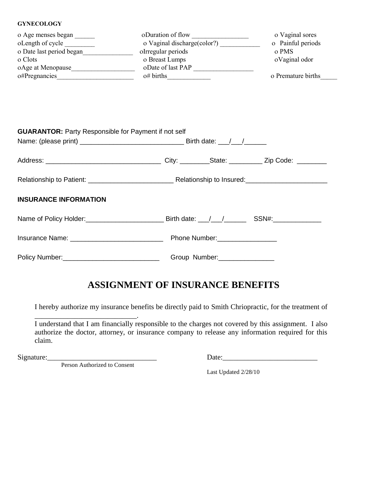#### **GYNECOLOGY**

| o Age menses began       | oDuration of flow            | o Vaginal sores    |
|--------------------------|------------------------------|--------------------|
| oLength of cycle         | o Vaginal discharge (color?) | o Painful periods  |
| o Date last period began | oIrregular periods           | o PMS              |
| o Clots                  | o Breast Lumps               | oVaginal odor      |
| oAge at Menopause        | oDate of last PAP            |                    |
| o#Pregnancies            | $o# \text{ births}$          | o Premature births |

| <b>GUARANTOR: Party Responsible for Payment if not self</b> |               |  |
|-------------------------------------------------------------|---------------|--|
|                                                             |               |  |
|                                                             |               |  |
| <b>INSURANCE INFORMATION</b>                                |               |  |
|                                                             |               |  |
|                                                             | Phone Number: |  |
|                                                             | Group Number: |  |

# **ASSIGNMENT OF INSURANCE BENEFITS**

I hereby authorize my insurance benefits be directly paid to Smith Chriopractic, for the treatment of

| I understand that I am financially responsible to the charges not covered by this assignment. I also |
|------------------------------------------------------------------------------------------------------|
| authorize the doctor, attorney, or insurance company to release any information required for this    |
| claim.                                                                                               |

Person Authorized to Consent

\_\_\_\_\_\_\_\_\_\_\_\_\_\_\_\_\_\_\_\_\_\_\_\_\_\_\_\_.

Signature:\_\_\_\_\_\_\_\_\_\_\_\_\_\_\_\_\_\_\_\_\_\_\_\_\_\_\_\_\_\_ Date:\_\_\_\_\_\_\_\_\_\_\_\_\_\_\_\_\_\_\_\_\_\_\_\_\_\_

Last Updated 2/28/10